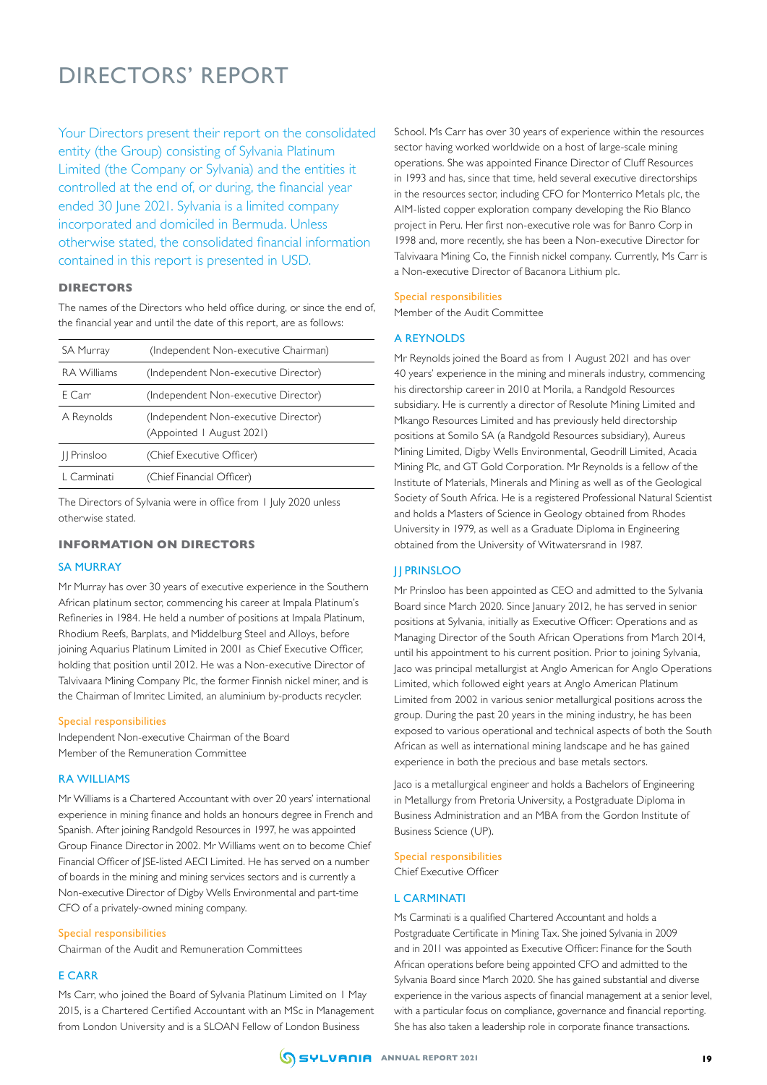## DIRECTORS' REPORT

Your Directors present their report on the consolidated entity (the Group) consisting of Sylvania Platinum Limited (the Company or Sylvania) and the entities it controlled at the end of, or during, the financial year ended 30 June 2021. Sylvania is a limited company incorporated and domiciled in Bermuda. Unless otherwise stated, the consolidated financial information contained in this report is presented in USD.

#### **DIRECTORS**

The names of the Directors who held office during, or since the end of, the financial year and until the date of this report, are as follows:

| <b>SA Murray</b>   | (Independent Non-executive Chairman)                              |
|--------------------|-------------------------------------------------------------------|
| <b>RA</b> Williams | (Independent Non-executive Director)                              |
| E Carr             | (Independent Non-executive Director)                              |
| A Reynolds         | (Independent Non-executive Director)<br>(Appointed   August 2021) |
| II Prinsloo        | (Chief Executive Officer)                                         |
| L Carminati        | (Chief Financial Officer)                                         |

The Directors of Sylvania were in office from 1 July 2020 unless otherwise stated.

## **INFORMATION ON DIRECTORS**

#### SA MURRAY

Mr Murray has over 30 years of executive experience in the Southern African platinum sector, commencing his career at Impala Platinum's Refineries in 1984. He held a number of positions at Impala Platinum, Rhodium Reefs, Barplats, and Middelburg Steel and Alloys, before joining Aquarius Platinum Limited in 2001 as Chief Executive Officer, holding that position until 2012. He was a Non-executive Director of Talvivaara Mining Company Plc, the former Finnish nickel miner, and is the Chairman of Imritec Limited, an aluminium by-products recycler.

#### Special responsibilities

Independent Non-executive Chairman of the Board Member of the Remuneration Committee

#### RA WILLIAMS

Mr Williams is a Chartered Accountant with over 20 years' international experience in mining finance and holds an honours degree in French and Spanish. After joining Randgold Resources in 1997, he was appointed Group Finance Director in 2002. Mr Williams went on to become Chief Financial Officer of JSE-listed AECI Limited. He has served on a number of boards in the mining and mining services sectors and is currently a Non-executive Director of Digby Wells Environmental and part-time CFO of a privately-owned mining company.

#### Special responsibilities

Chairman of the Audit and Remuneration Committees

#### E CARR

Ms Carr, who joined the Board of Sylvania Platinum Limited on 1 May 2015, is a Chartered Certified Accountant with an MSc in Management from London University and is a SLOAN Fellow of London Business

School. Ms Carr has over 30 years of experience within the resources sector having worked worldwide on a host of large-scale mining operations. She was appointed Finance Director of Cluff Resources in 1993 and has, since that time, held several executive directorships in the resources sector, including CFO for Monterrico Metals plc, the AIM-listed copper exploration company developing the Rio Blanco project in Peru. Her first non-executive role was for Banro Corp in 1998 and, more recently, she has been a Non-executive Director for Talvivaara Mining Co, the Finnish nickel company. Currently, Ms Carr is a Non-executive Director of Bacanora Lithium plc.

#### Special responsibilities

Member of the Audit Committee

#### A REYNOLDS

Mr Reynolds joined the Board as from 1 August 2021 and has over 40 years' experience in the mining and minerals industry, commencing his directorship career in 2010 at Morila, a Randgold Resources subsidiary. He is currently a director of Resolute Mining Limited and Mkango Resources Limited and has previously held directorship positions at Somilo SA (a Randgold Resources subsidiary), Aureus Mining Limited, Digby Wells Environmental, Geodrill Limited, Acacia Mining Plc, and GT Gold Corporation. Mr Reynolds is a fellow of the Institute of Materials, Minerals and Mining as well as of the Geological Society of South Africa. He is a registered Professional Natural Scientist and holds a Masters of Science in Geology obtained from Rhodes University in 1979, as well as a Graduate Diploma in Engineering obtained from the University of Witwatersrand in 1987.

## JJ PRINSLOO

Mr Prinsloo has been appointed as CEO and admitted to the Sylvania Board since March 2020. Since January 2012, he has served in senior positions at Sylvania, initially as Executive Officer: Operations and as Managing Director of the South African Operations from March 2014, until his appointment to his current position. Prior to joining Sylvania, Jaco was principal metallurgist at Anglo American for Anglo Operations Limited, which followed eight years at Anglo American Platinum Limited from 2002 in various senior metallurgical positions across the group. During the past 20 years in the mining industry, he has been exposed to various operational and technical aspects of both the South African as well as international mining landscape and he has gained experience in both the precious and base metals sectors.

Jaco is a metallurgical engineer and holds a Bachelors of Engineering in Metallurgy from Pretoria University, a Postgraduate Diploma in Business Administration and an MBA from the Gordon Institute of Business Science (UP).

## Special responsibilities

Chief Executive Officer

## L CARMINATI

Ms Carminati is a qualified Chartered Accountant and holds a Postgraduate Certificate in Mining Tax. She joined Sylvania in 2009 and in 2011 was appointed as Executive Officer: Finance for the South African operations before being appointed CFO and admitted to the Sylvania Board since March 2020. She has gained substantial and diverse experience in the various aspects of financial management at a senior level, with a particular focus on compliance, governance and financial reporting. She has also taken a leadership role in corporate finance transactions.

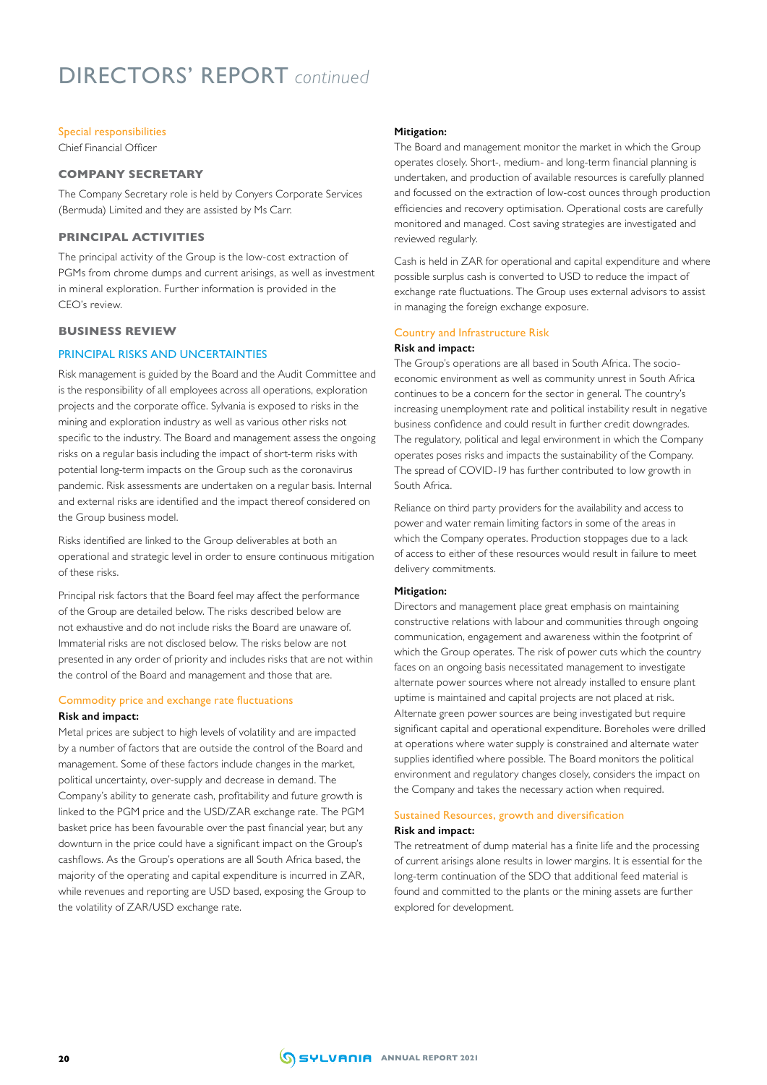# DIRECTORS' REPORT *continued*

#### Special responsibilities

Chief Financial Officer

## **COMPANY SECRETARY**

The Company Secretary role is held by Conyers Corporate Services (Bermuda) Limited and they are assisted by Ms Carr.

#### **PRINCIPAL ACTIVITIES**

The principal activity of the Group is the low-cost extraction of PGMs from chrome dumps and current arisings, as well as investment in mineral exploration. Further information is provided in the CEO's review.

#### **BUSINESS REVIEW**

#### PRINCIPAL RISKS AND UNCERTAINTIES

Risk management is guided by the Board and the Audit Committee and is the responsibility of all employees across all operations, exploration projects and the corporate office. Sylvania is exposed to risks in the mining and exploration industry as well as various other risks not specific to the industry. The Board and management assess the ongoing risks on a regular basis including the impact of short-term risks with potential long-term impacts on the Group such as the coronavirus pandemic. Risk assessments are undertaken on a regular basis. Internal and external risks are identified and the impact thereof considered on the Group business model.

Risks identified are linked to the Group deliverables at both an operational and strategic level in order to ensure continuous mitigation of these risks.

Principal risk factors that the Board feel may affect the performance of the Group are detailed below. The risks described below are not exhaustive and do not include risks the Board are unaware of. Immaterial risks are not disclosed below. The risks below are not presented in any order of priority and includes risks that are not within the control of the Board and management and those that are.

#### Commodity price and exchange rate fluctuations **Risk and impact:**

Metal prices are subject to high levels of volatility and are impacted by a number of factors that are outside the control of the Board and management. Some of these factors include changes in the market, political uncertainty, over-supply and decrease in demand. The Company's ability to generate cash, profitability and future growth is linked to the PGM price and the USD/ZAR exchange rate. The PGM basket price has been favourable over the past financial year, but any downturn in the price could have a significant impact on the Group's cashflows. As the Group's operations are all South Africa based, the majority of the operating and capital expenditure is incurred in ZAR, while revenues and reporting are USD based, exposing the Group to the volatility of ZAR/USD exchange rate.

#### **Mitigation:**

The Board and management monitor the market in which the Group operates closely. Short-, medium- and long-term financial planning is undertaken, and production of available resources is carefully planned and focussed on the extraction of low-cost ounces through production efficiencies and recovery optimisation. Operational costs are carefully monitored and managed. Cost saving strategies are investigated and reviewed regularly.

Cash is held in ZAR for operational and capital expenditure and where possible surplus cash is converted to USD to reduce the impact of exchange rate fluctuations. The Group uses external advisors to assist in managing the foreign exchange exposure.

## Country and Infrastructure Risk

#### **Risk and impact:**

The Group's operations are all based in South Africa. The socioeconomic environment as well as community unrest in South Africa continues to be a concern for the sector in general. The country's increasing unemployment rate and political instability result in negative business confidence and could result in further credit downgrades. The regulatory, political and legal environment in which the Company operates poses risks and impacts the sustainability of the Company. The spread of COVID-19 has further contributed to low growth in South Africa.

Reliance on third party providers for the availability and access to power and water remain limiting factors in some of the areas in which the Company operates. Production stoppages due to a lack of access to either of these resources would result in failure to meet delivery commitments.

#### **Mitigation:**

Directors and management place great emphasis on maintaining constructive relations with labour and communities through ongoing communication, engagement and awareness within the footprint of which the Group operates. The risk of power cuts which the country faces on an ongoing basis necessitated management to investigate alternate power sources where not already installed to ensure plant uptime is maintained and capital projects are not placed at risk. Alternate green power sources are being investigated but require significant capital and operational expenditure. Boreholes were drilled at operations where water supply is constrained and alternate water supplies identified where possible. The Board monitors the political environment and regulatory changes closely, considers the impact on the Company and takes the necessary action when required.

#### Sustained Resources, growth and diversification **Risk and impact:**

The retreatment of dump material has a finite life and the processing of current arisings alone results in lower margins. It is essential for the long-term continuation of the SDO that additional feed material is found and committed to the plants or the mining assets are further explored for development.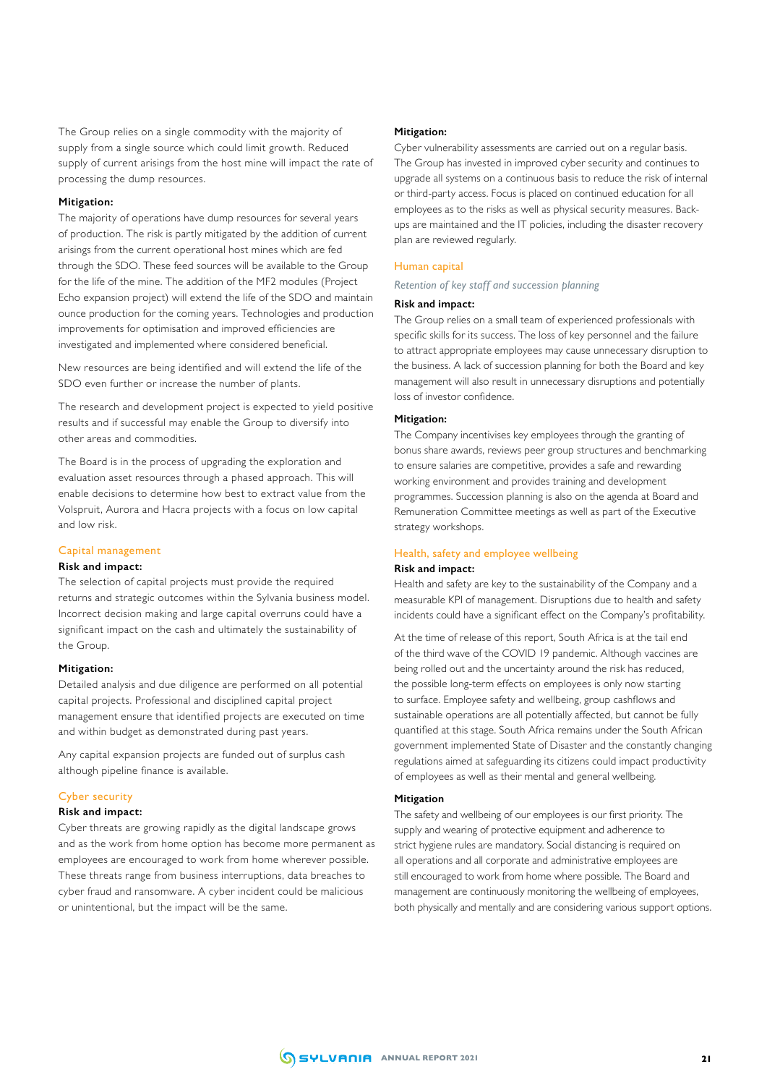The Group relies on a single commodity with the majority of supply from a single source which could limit growth. Reduced supply of current arisings from the host mine will impact the rate of processing the dump resources.

#### **Mitigation:**

The majority of operations have dump resources for several years of production. The risk is partly mitigated by the addition of current arisings from the current operational host mines which are fed through the SDO. These feed sources will be available to the Group for the life of the mine. The addition of the MF2 modules (Project Echo expansion project) will extend the life of the SDO and maintain ounce production for the coming years. Technologies and production improvements for optimisation and improved efficiencies are investigated and implemented where considered beneficial.

New resources are being identified and will extend the life of the SDO even further or increase the number of plants.

The research and development project is expected to yield positive results and if successful may enable the Group to diversify into other areas and commodities.

The Board is in the process of upgrading the exploration and evaluation asset resources through a phased approach. This will enable decisions to determine how best to extract value from the Volspruit, Aurora and Hacra projects with a focus on low capital and low risk.

#### Capital management

#### **Risk and impact:**

The selection of capital projects must provide the required returns and strategic outcomes within the Sylvania business model. Incorrect decision making and large capital overruns could have a significant impact on the cash and ultimately the sustainability of the Group.

#### **Mitigation:**

Detailed analysis and due diligence are performed on all potential capital projects. Professional and disciplined capital project management ensure that identified projects are executed on time and within budget as demonstrated during past years.

Any capital expansion projects are funded out of surplus cash although pipeline finance is available.

#### Cyber security

#### **Risk and impact:**

Cyber threats are growing rapidly as the digital landscape grows and as the work from home option has become more permanent as employees are encouraged to work from home wherever possible. These threats range from business interruptions, data breaches to cyber fraud and ransomware. A cyber incident could be malicious or unintentional, but the impact will be the same.

#### **Mitigation:**

Cyber vulnerability assessments are carried out on a regular basis. The Group has invested in improved cyber security and continues to upgrade all systems on a continuous basis to reduce the risk of internal or third-party access. Focus is placed on continued education for all employees as to the risks as well as physical security measures. Backups are maintained and the IT policies, including the disaster recovery plan are reviewed regularly.

#### Human capital

#### *Retention of key staff and succession planning*

#### **Risk and impact:**

The Group relies on a small team of experienced professionals with specific skills for its success. The loss of key personnel and the failure to attract appropriate employees may cause unnecessary disruption to the business. A lack of succession planning for both the Board and key management will also result in unnecessary disruptions and potentially loss of investor confidence.

#### **Mitigation:**

The Company incentivises key employees through the granting of bonus share awards, reviews peer group structures and benchmarking to ensure salaries are competitive, provides a safe and rewarding working environment and provides training and development programmes. Succession planning is also on the agenda at Board and Remuneration Committee meetings as well as part of the Executive strategy workshops.

#### Health, safety and employee wellbeing

#### **Risk and impact:**

Health and safety are key to the sustainability of the Company and a measurable KPI of management. Disruptions due to health and safety incidents could have a significant effect on the Company's profitability.

At the time of release of this report, South Africa is at the tail end of the third wave of the COVID 19 pandemic. Although vaccines are being rolled out and the uncertainty around the risk has reduced, the possible long-term effects on employees is only now starting to surface. Employee safety and wellbeing, group cashflows and sustainable operations are all potentially affected, but cannot be fully quantified at this stage. South Africa remains under the South African government implemented State of Disaster and the constantly changing regulations aimed at safeguarding its citizens could impact productivity of employees as well as their mental and general wellbeing.

#### **Mitigation**

The safety and wellbeing of our employees is our first priority. The supply and wearing of protective equipment and adherence to strict hygiene rules are mandatory. Social distancing is required on all operations and all corporate and administrative employees are still encouraged to work from home where possible. The Board and management are continuously monitoring the wellbeing of employees, both physically and mentally and are considering various support options.

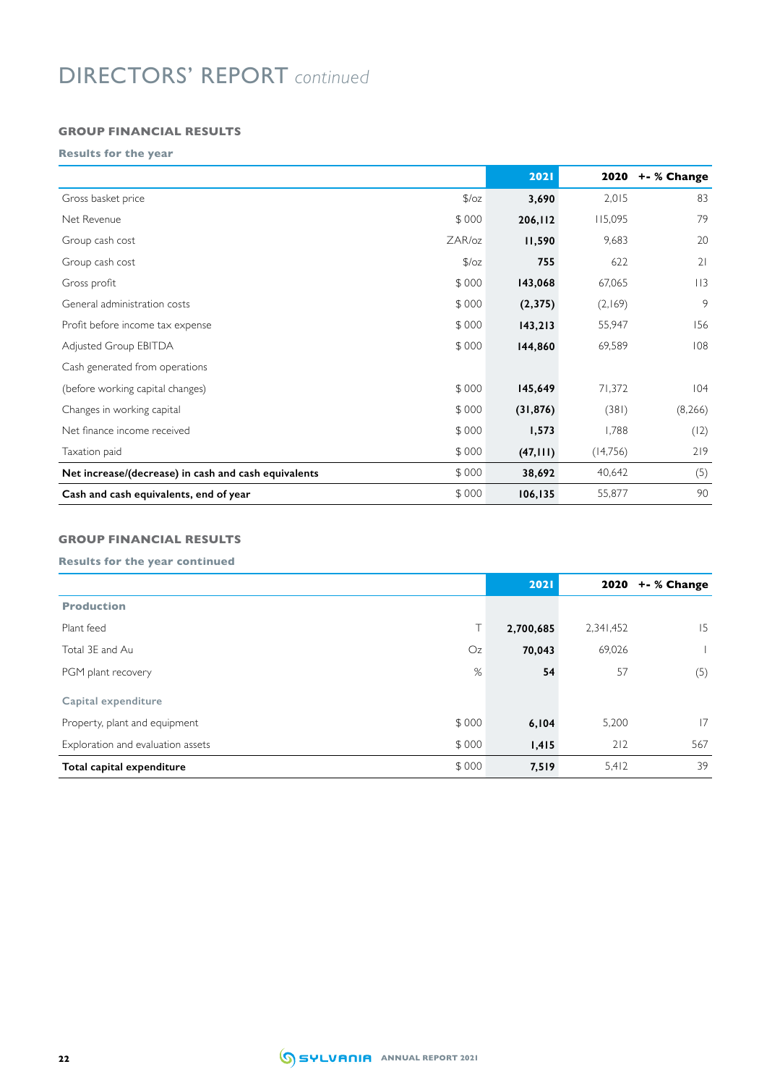# DIRECTORS' REPORT *continued*

## **GROUP FINANCIAL RESULTS**

**Results for the year**

|                                                      |               | 2021      | 2020     | +- % Change |
|------------------------------------------------------|---------------|-----------|----------|-------------|
| Gross basket price                                   | $\sqrt{2}/oz$ | 3,690     | 2,015    | 83          |
| Net Revenue                                          | \$000         | 206,112   | 115,095  | 79          |
| Group cash cost                                      | ZAR/oz        | 11,590    | 9,683    | 20          |
| Group cash cost                                      | 5/oz          | 755       | 622      | 21          |
| Gross profit                                         | \$000         | 143,068   | 67,065   | 113         |
| General administration costs                         | \$000         | (2,375)   | (2,169)  | 9           |
| Profit before income tax expense                     | \$000         | 143,213   | 55,947   | 156         |
| Adjusted Group EBITDA                                | \$000         | 144,860   | 69,589   | 108         |
| Cash generated from operations                       |               |           |          |             |
| (before working capital changes)                     | \$000         | 145,649   | 71,372   | 104         |
| Changes in working capital                           | \$000         | (31, 876) | (381)    | (8,266)     |
| Net finance income received                          | \$000         | 1,573     | 1,788    | (12)        |
| Taxation paid                                        | \$000         | (47, 111) | (14,756) | 219         |
| Net increase/(decrease) in cash and cash equivalents | \$000         | 38,692    | 40,642   | (5)         |
| Cash and cash equivalents, end of year               | \$000         | 106, 135  | 55,877   | 90          |

## **GROUP FINANCIAL RESULTS**

## **Results for the year continued**

|                                            | 2021      | 2020      | +- % Change |
|--------------------------------------------|-----------|-----------|-------------|
| <b>Production</b>                          |           |           |             |
| T I<br>Plant feed                          | 2,700,685 | 2,341,452 | 15          |
| Total 3E and Au<br>Oz                      | 70,043    | 69,026    |             |
| %<br>PGM plant recovery                    | 54        | 57        | (5)         |
| Capital expenditure                        |           |           |             |
| \$000<br>Property, plant and equipment     | 6,104     | 5,200     | 17          |
| Exploration and evaluation assets<br>\$000 | 1,415     | 212       | 567         |
| \$000<br>Total capital expenditure         | 7,519     | 5,412     | 39          |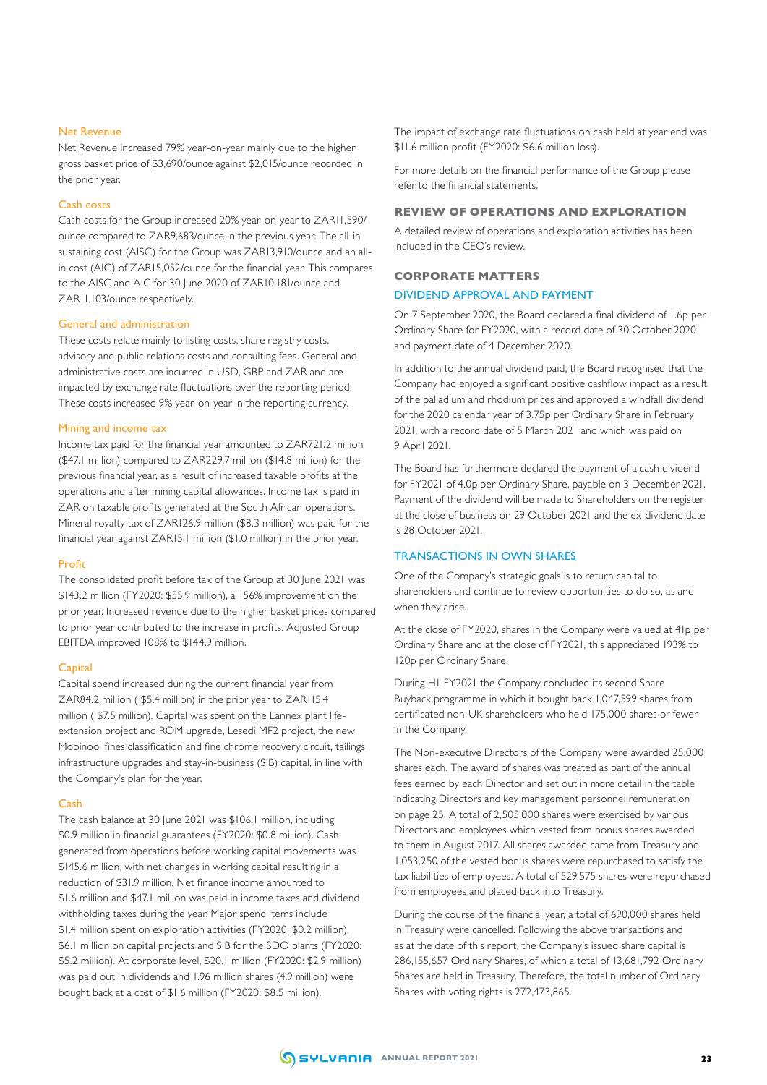#### Net Revenue

Net Revenue increased 79% year-on-year mainly due to the higher gross basket price of \$3,690/ounce against \$2,015/ounce recorded in the prior year.

#### Cash costs

Cash costs for the Group increased 20% year-on-year to ZAR11,590/ ounce compared to ZAR9,683/ounce in the previous year. The all-in sustaining cost (AISC) for the Group was ZAR13,910/ounce and an allin cost (AIC) of ZAR15,052/ounce for the financial year. This compares to the AISC and AIC for 30 June 2020 of ZAR10,181/ounce and ZAR11,103/ounce respectively.

#### General and administration

These costs relate mainly to listing costs, share registry costs, advisory and public relations costs and consulting fees. General and administrative costs are incurred in USD, GBP and ZAR and are impacted by exchange rate fluctuations over the reporting period. These costs increased 9% year-on-year in the reporting currency.

#### Mining and income tax

Income tax paid for the financial year amounted to ZAR721.2 million (\$47.1 million) compared to ZAR229.7 million (\$14.8 million) for the previous financial year, as a result of increased taxable profits at the operations and after mining capital allowances. Income tax is paid in ZAR on taxable profits generated at the South African operations. Mineral royalty tax of ZAR126.9 million (\$8.3 million) was paid for the financial year against ZAR15.1 million (\$1.0 million) in the prior year.

#### Profit

The consolidated profit before tax of the Group at 30 June 2021 was \$143.2 million (FY2020: \$55.9 million), a 156% improvement on the prior year. Increased revenue due to the higher basket prices compared to prior year contributed to the increase in profits. Adjusted Group EBITDA improved 108% to \$144.9 million.

#### **Capital**

Capital spend increased during the current financial year from ZAR84.2 million ( \$5.4 million) in the prior year to ZAR115.4 million ( \$7.5 million). Capital was spent on the Lannex plant lifeextension project and ROM upgrade, Lesedi MF2 project, the new Mooinooi fines classification and fine chrome recovery circuit, tailings infrastructure upgrades and stay-in-business (SIB) capital, in line with the Company's plan for the year.

#### Cash

The cash balance at 30 June 2021 was \$106.1 million, including \$0.9 million in financial guarantees (FY2020: \$0.8 million). Cash generated from operations before working capital movements was \$145.6 million, with net changes in working capital resulting in a reduction of \$31.9 million. Net finance income amounted to \$1.6 million and \$47.1 million was paid in income taxes and dividend withholding taxes during the year. Major spend items include \$1.4 million spent on exploration activities (FY2020: \$0.2 million), \$6.1 million on capital projects and SIB for the SDO plants (FY2020: \$5.2 million). At corporate level, \$20.1 million (FY2020: \$2.9 million) was paid out in dividends and 1.96 million shares (4.9 million) were bought back at a cost of \$1.6 million (FY2020: \$8.5 million).

The impact of exchange rate fluctuations on cash held at year end was \$11.6 million profit (FY2020: \$6.6 million loss).

For more details on the financial performance of the Group please refer to the financial statements.

#### **REVIEW OF OPERATIONS AND EXPLORATION**

A detailed review of operations and exploration activities has been included in the CEO's review.

#### **CORPORATE MATTERS**

#### DIVIDEND APPROVAL AND PAYMENT

On 7 September 2020, the Board declared a final dividend of 1.6p per Ordinary Share for FY2020, with a record date of 30 October 2020 and payment date of 4 December 2020.

In addition to the annual dividend paid, the Board recognised that the Company had enjoyed a significant positive cashflow impact as a result of the palladium and rhodium prices and approved a windfall dividend for the 2020 calendar year of 3.75p per Ordinary Share in February 2021, with a record date of 5 March 2021 and which was paid on 9 April 2021.

The Board has furthermore declared the payment of a cash dividend for FY2021 of 4.0p per Ordinary Share, payable on 3 December 2021. Payment of the dividend will be made to Shareholders on the register at the close of business on 29 October 2021 and the ex-dividend date is 28 October 2021.

## TRANSACTIONS IN OWN SHARES

One of the Company's strategic goals is to return capital to shareholders and continue to review opportunities to do so, as and when they arise.

At the close of FY2020, shares in the Company were valued at 41p per Ordinary Share and at the close of FY2021, this appreciated 193% to 120p per Ordinary Share.

During H1 FY2021 the Company concluded its second Share Buyback programme in which it bought back 1,047,599 shares from certificated non-UK shareholders who held 175,000 shares or fewer in the Company.

The Non-executive Directors of the Company were awarded 25,000 shares each. The award of shares was treated as part of the annual fees earned by each Director and set out in more detail in the table indicating Directors and key management personnel remuneration on page 25. A total of 2,505,000 shares were exercised by various Directors and employees which vested from bonus shares awarded to them in August 2017. All shares awarded came from Treasury and 1,053,250 of the vested bonus shares were repurchased to satisfy the tax liabilities of employees. A total of 529,575 shares were repurchased from employees and placed back into Treasury.

During the course of the financial year, a total of 690,000 shares held in Treasury were cancelled. Following the above transactions and as at the date of this report, the Company's issued share capital is 286,155,657 Ordinary Shares, of which a total of 13,681,792 Ordinary Shares are held in Treasury. Therefore, the total number of Ordinary Shares with voting rights is 272,473,865.

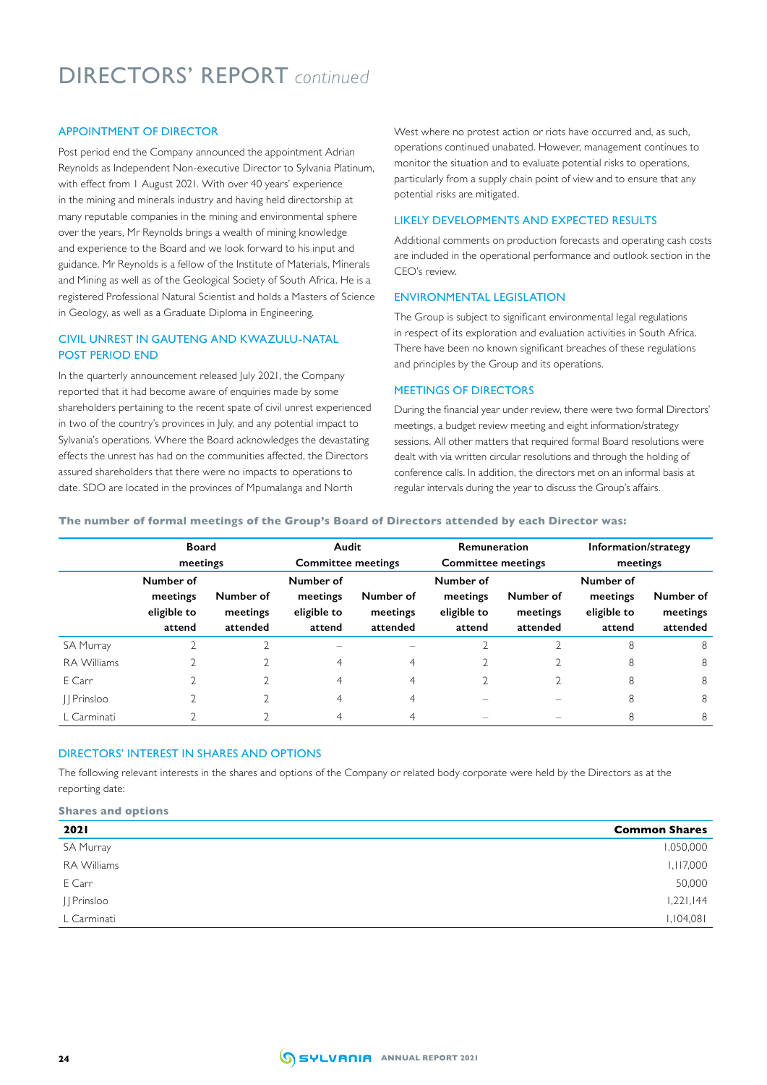# DIRECTORS' REPORT *continued*

## APPOINTMENT OF DIRECTOR

Post period end the Company announced the appointment Adrian Reynolds as Independent Non-executive Director to Sylvania Platinum, with effect from 1 August 2021. With over 40 years' experience in the mining and minerals industry and having held directorship at many reputable companies in the mining and environmental sphere over the years, Mr Reynolds brings a wealth of mining knowledge and experience to the Board and we look forward to his input and guidance. Mr Reynolds is a fellow of the Institute of Materials, Minerals and Mining as well as of the Geological Society of South Africa. He is a registered Professional Natural Scientist and holds a Masters of Science in Geology, as well as a Graduate Diploma in Engineering.

## CIVIL UNREST IN GAUTENG AND KWAZULU-NATAL POST PERIOD END

In the quarterly announcement released July 2021, the Company reported that it had become aware of enquiries made by some shareholders pertaining to the recent spate of civil unrest experienced in two of the country's provinces in July, and any potential impact to Sylvania's operations. Where the Board acknowledges the devastating effects the unrest has had on the communities affected, the Directors assured shareholders that there were no impacts to operations to date. SDO are located in the provinces of Mpumalanga and North

West where no protest action or riots have occurred and, as such, operations continued unabated. However, management continues to monitor the situation and to evaluate potential risks to operations, particularly from a supply chain point of view and to ensure that any potential risks are mitigated.

## LIKELY DEVELOPMENTS AND EXPECTED RESULTS

Additional comments on production forecasts and operating cash costs are included in the operational performance and outlook section in the CEO's review.

## ENVIRONMENTAL LEGISLATION

The Group is subject to significant environmental legal regulations in respect of its exploration and evaluation activities in South Africa. There have been no known significant breaches of these regulations and principles by the Group and its operations.

#### MEETINGS OF DIRECTORS

During the financial year under review, there were two formal Directors' meetings, a budget review meeting and eight information/strategy sessions. All other matters that required formal Board resolutions were dealt with via written circular resolutions and through the holding of conference calls. In addition, the directors met on an informal basis at regular intervals during the year to discuss the Group's affairs.

**The number of formal meetings of the Group's Board of Directors attended by each Director was:**

|                    | Board<br>meetings                              |                                   | Audit<br><b>Committee meetings</b>             |                                   | Remuneration<br><b>Committee meetings</b>      |                                   | Information/strategy<br>meetings               |                                   |
|--------------------|------------------------------------------------|-----------------------------------|------------------------------------------------|-----------------------------------|------------------------------------------------|-----------------------------------|------------------------------------------------|-----------------------------------|
|                    | Number of<br>meetings<br>eligible to<br>attend | Number of<br>meetings<br>attended | Number of<br>meetings<br>eligible to<br>attend | Number of<br>meetings<br>attended | Number of<br>meetings<br>eligible to<br>attend | Number of<br>meetings<br>attended | Number of<br>meetings<br>eligible to<br>attend | Number of<br>meetings<br>attended |
| <b>SA Murray</b>   |                                                |                                   |                                                |                                   |                                                |                                   | 8                                              | 8                                 |
| <b>RA Williams</b> |                                                |                                   | 4                                              | 4                                 |                                                |                                   | 8                                              | 8                                 |
| E Carr             |                                                |                                   | 4                                              | $\overline{4}$                    |                                                |                                   | 8                                              | 8                                 |
| Prinsloo           |                                                |                                   | 4                                              | $\overline{4}$                    |                                                |                                   | 8                                              | 8                                 |
| L Carminati        |                                                |                                   |                                                | 4                                 |                                                |                                   | 8                                              | 8                                 |

## DIRECTORS' INTEREST IN SHARES AND OPTIONS

The following relevant interests in the shares and options of the Company or related body corporate were held by the Directors as at the reporting date:

#### **Shares and options**

| <b>2021</b> | <b>Common Shares</b> |
|-------------|----------------------|
| SA Murray   | 1,050,000            |
| RA Williams | 1,117,000            |
| E Carr      | 50,000               |
| JJ Prinsloo | 1,221,144            |
| L Carminati | 1,104,081            |